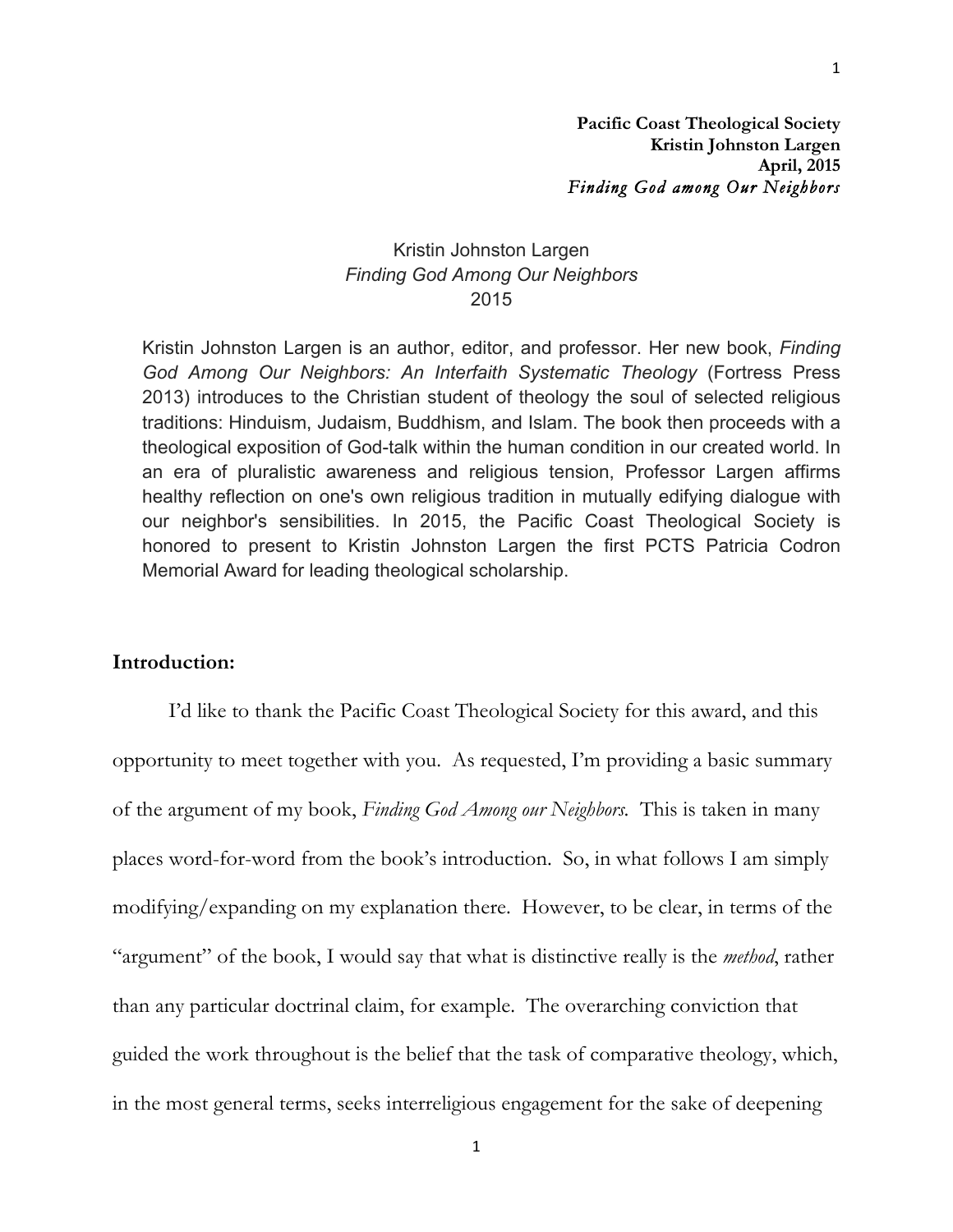**Pacific Coast Theological Society Kristin Johnston Largen April, 2015** *Finding God among Our Neighbors* 

# Kristin Johnston Largen *Finding God Among Our Neighbors* 2015

Kristin Johnston Largen is an author, editor, and professor. Her new book, *Finding God Among Our Neighbors: An Interfaith Systematic Theology* (Fortress Press 2013) introduces to the Christian student of theology the soul of selected religious traditions: Hinduism, Judaism, Buddhism, and Islam. The book then proceeds with a theological exposition of God-talk within the human condition in our created world. In an era of pluralistic awareness and religious tension, Professor Largen affirms healthy reflection on one's own religious tradition in mutually edifying dialogue with our neighbor's sensibilities. In 2015, the Pacific Coast Theological Society is honored to present to Kristin Johnston Largen the first PCTS Patricia Codron Memorial Award for leading theological scholarship.

### **Introduction:**

I'd like to thank the Pacific Coast Theological Society for this award, and this opportunity to meet together with you. As requested, I'm providing a basic summary of the argument of my book, *Finding God Among our Neighbors.* This is taken in many places word-for-word from the book's introduction. So, in what follows I am simply modifying/expanding on my explanation there. However, to be clear, in terms of the "argument" of the book, I would say that what is distinctive really is the *method*, rather than any particular doctrinal claim, for example. The overarching conviction that guided the work throughout is the belief that the task of comparative theology, which, in the most general terms, seeks interreligious engagement for the sake of deepening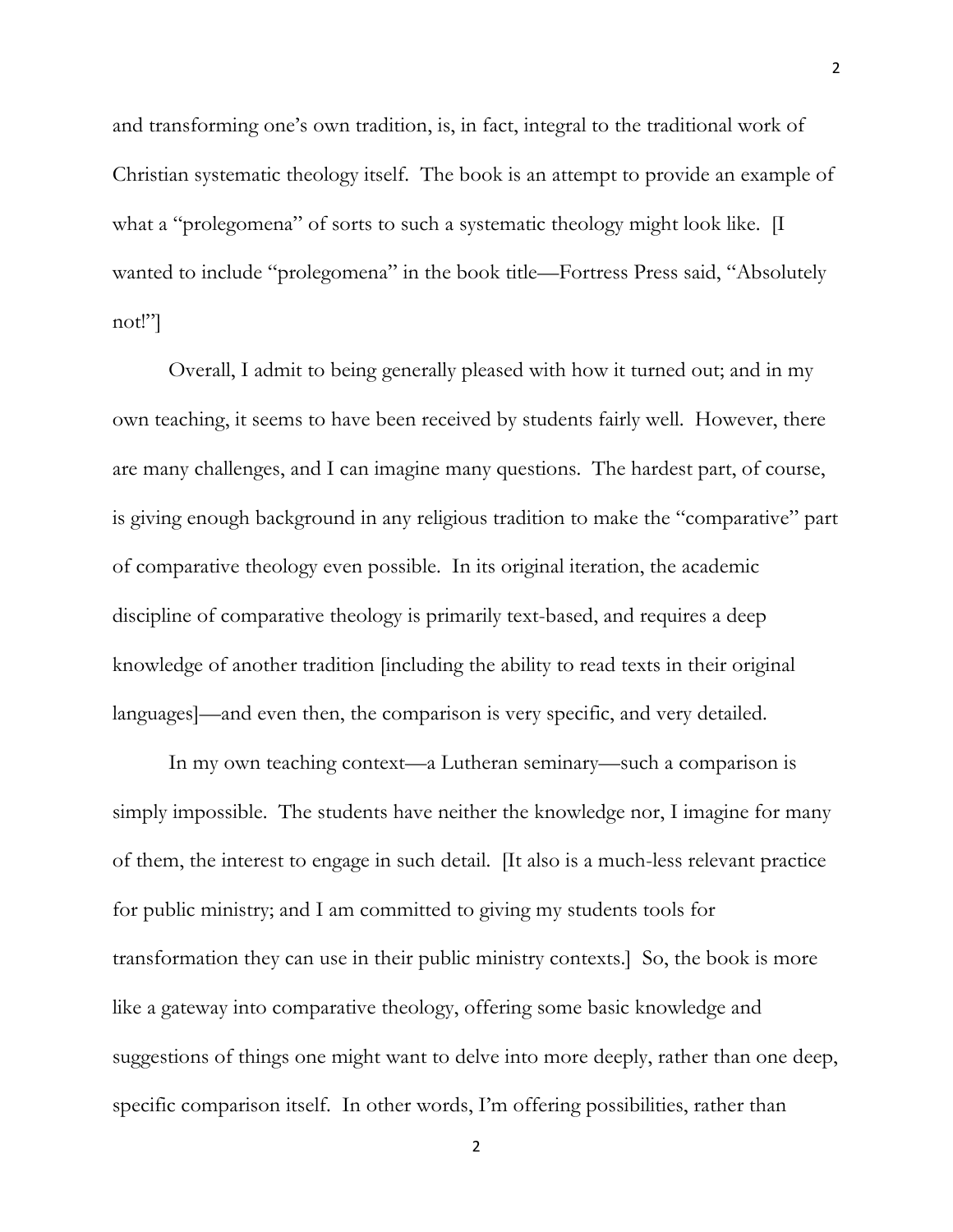and transforming one's own tradition, is, in fact, integral to the traditional work of Christian systematic theology itself. The book is an attempt to provide an example of what a "prolegomena" of sorts to such a systematic theology might look like.  $\Box$ wanted to include "prolegomena" in the book title—Fortress Press said, "Absolutely not!"]

Overall, I admit to being generally pleased with how it turned out; and in my own teaching, it seems to have been received by students fairly well. However, there are many challenges, and I can imagine many questions. The hardest part, of course, is giving enough background in any religious tradition to make the "comparative" part of comparative theology even possible. In its original iteration, the academic discipline of comparative theology is primarily text-based, and requires a deep knowledge of another tradition [including the ability to read texts in their original languages]—and even then, the comparison is very specific, and very detailed.

In my own teaching context—a Lutheran seminary—such a comparison is simply impossible. The students have neither the knowledge nor, I imagine for many of them, the interest to engage in such detail. [It also is a much-less relevant practice for public ministry; and I am committed to giving my students tools for transformation they can use in their public ministry contexts.] So, the book is more like a gateway into comparative theology, offering some basic knowledge and suggestions of things one might want to delve into more deeply, rather than one deep, specific comparison itself. In other words, I'm offering possibilities, rather than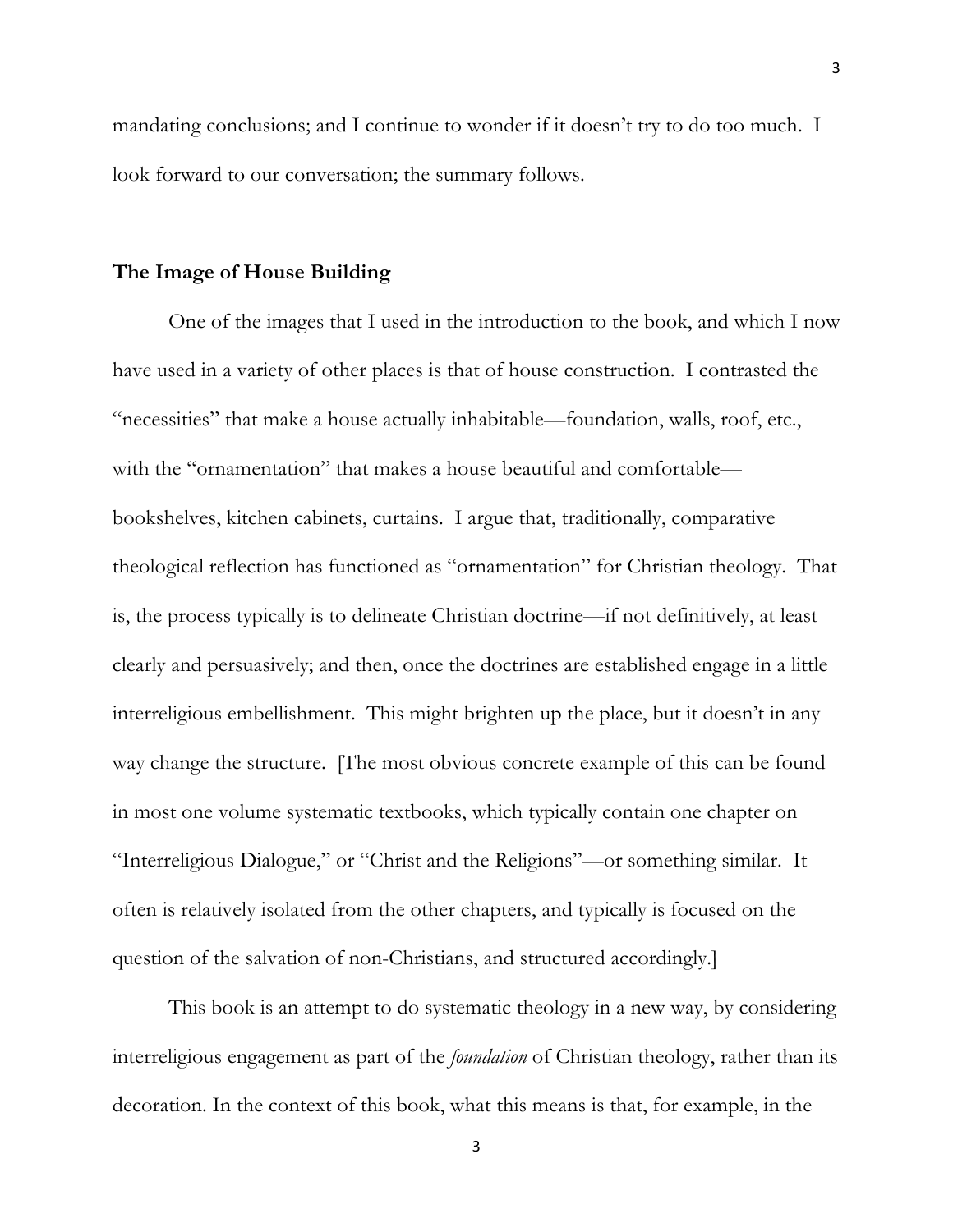mandating conclusions; and I continue to wonder if it doesn't try to do too much. I look forward to our conversation; the summary follows.

### **The Image of House Building**

One of the images that I used in the introduction to the book, and which I now have used in a variety of other places is that of house construction. I contrasted the "necessities" that make a house actually inhabitable—foundation, walls, roof, etc., with the "ornamentation" that makes a house beautiful and comfortable bookshelves, kitchen cabinets, curtains. I argue that, traditionally, comparative theological reflection has functioned as "ornamentation" for Christian theology. That is, the process typically is to delineate Christian doctrine—if not definitively, at least clearly and persuasively; and then, once the doctrines are established engage in a little interreligious embellishment. This might brighten up the place, but it doesn't in any way change the structure. [The most obvious concrete example of this can be found in most one volume systematic textbooks, which typically contain one chapter on "Interreligious Dialogue," or "Christ and the Religions"—or something similar. It often is relatively isolated from the other chapters, and typically is focused on the question of the salvation of non-Christians, and structured accordingly.]

This book is an attempt to do systematic theology in a new way, by considering interreligious engagement as part of the *foundation* of Christian theology, rather than its decoration. In the context of this book, what this means is that, for example, in the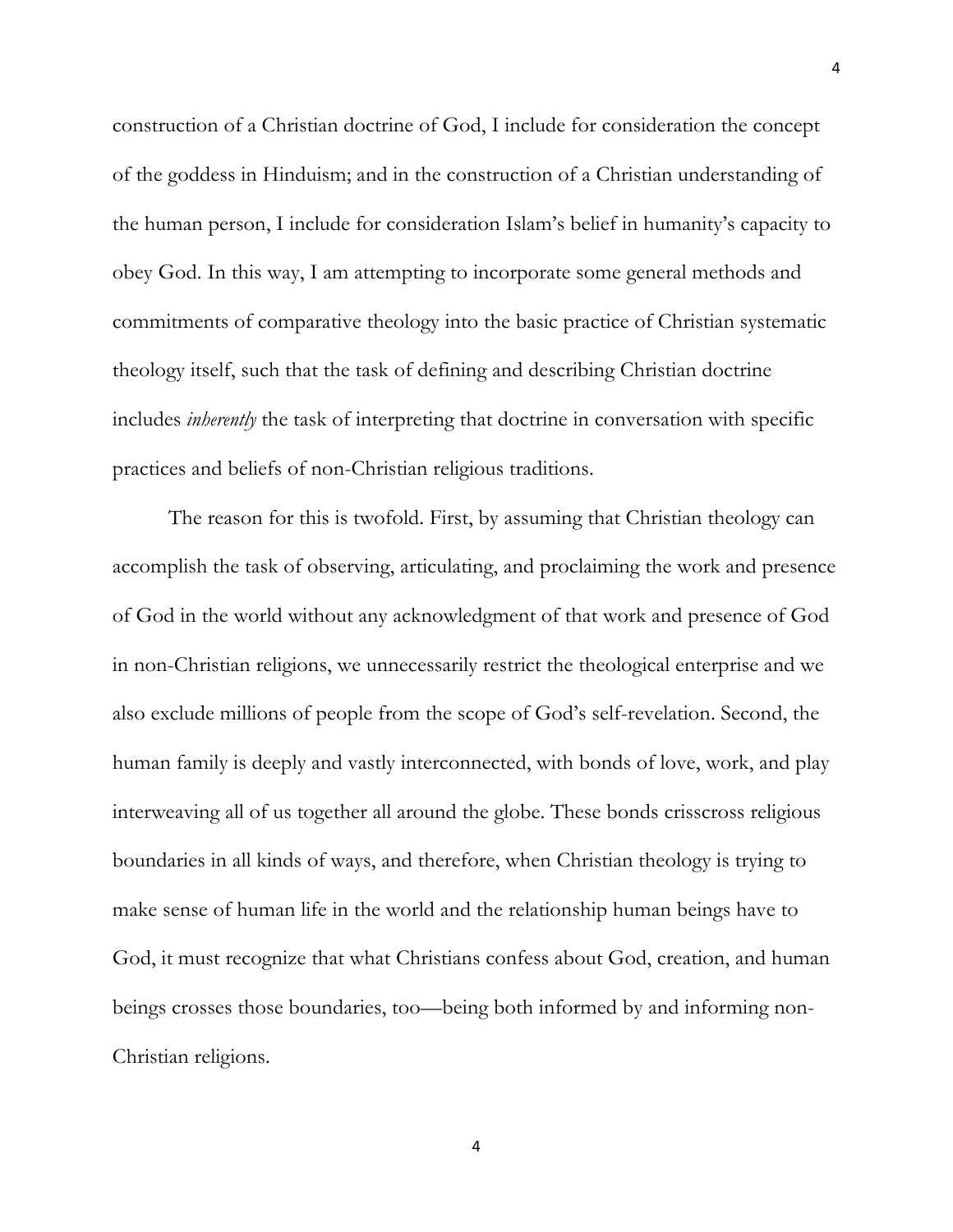construction of a Christian doctrine of God, I include for consideration the concept of the goddess in Hinduism; and in the construction of a Christian understanding of the human person, I include for consideration Islam's belief in humanity's capacity to obey God. In this way, I am attempting to incorporate some general methods and commitments of comparative theology into the basic practice of Christian systematic theology itself, such that the task of defining and describing Christian doctrine includes *inherently* the task of interpreting that doctrine in conversation with specific practices and beliefs of non-Christian religious traditions.

The reason for this is twofold. First, by assuming that Christian theology can accomplish the task of observing, articulating, and proclaiming the work and presence of God in the world without any acknowledgment of that work and presence of God in non-Christian religions, we unnecessarily restrict the theological enterprise and we also exclude millions of people from the scope of God's self-revelation. Second, the human family is deeply and vastly interconnected, with bonds of love, work, and play interweaving all of us together all around the globe. These bonds crisscross religious boundaries in all kinds of ways, and therefore, when Christian theology is trying to make sense of human life in the world and the relationship human beings have to God, it must recognize that what Christians confess about God, creation, and human beings crosses those boundaries, too—being both informed by and informing non-Christian religions.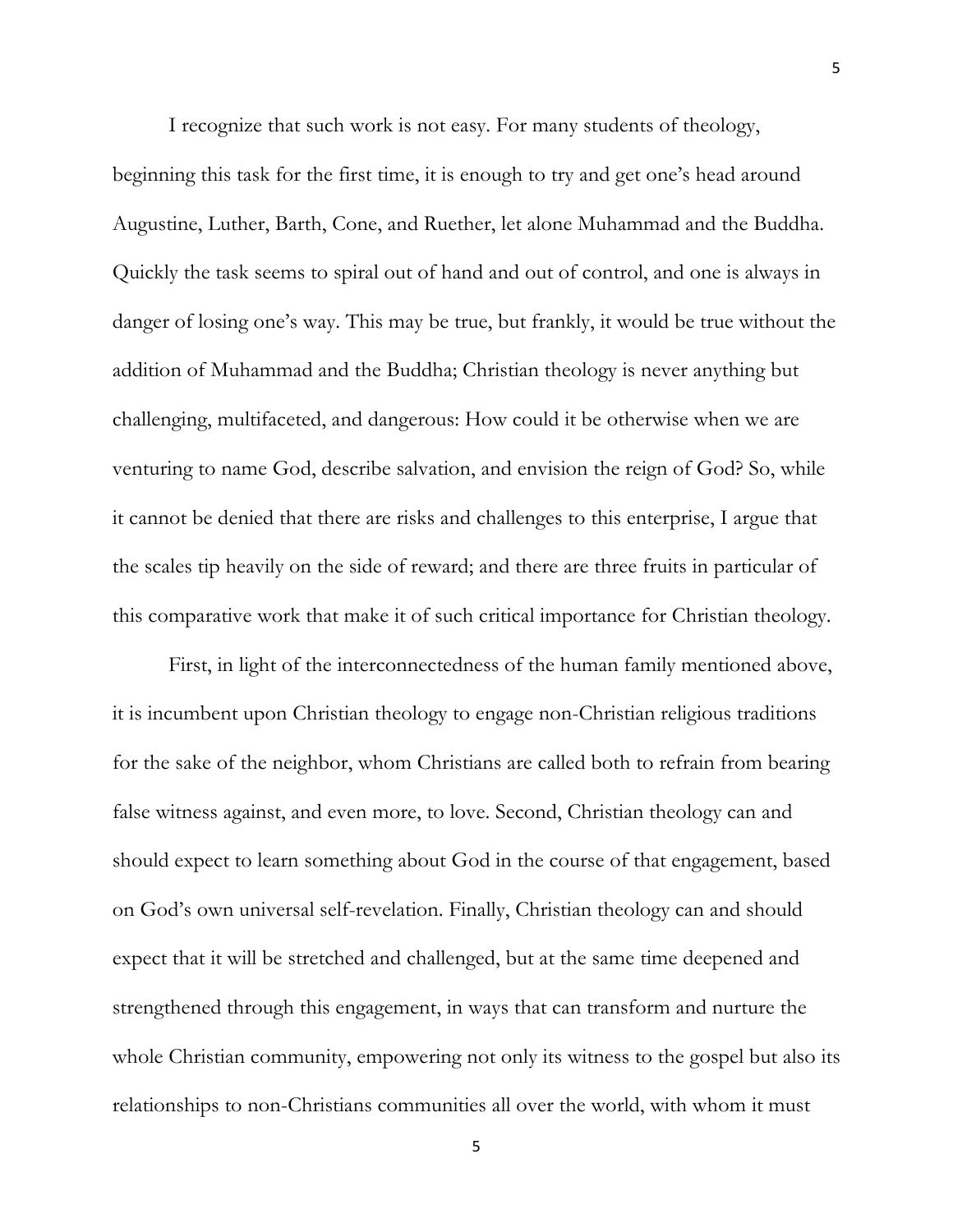I recognize that such work is not easy. For many students of theology, beginning this task for the first time, it is enough to try and get one's head around Augustine, Luther, Barth, Cone, and Ruether, let alone Muhammad and the Buddha. Quickly the task seems to spiral out of hand and out of control, and one is always in danger of losing one's way. This may be true, but frankly, it would be true without the addition of Muhammad and the Buddha; Christian theology is never anything but challenging, multifaceted, and dangerous: How could it be otherwise when we are venturing to name God, describe salvation, and envision the reign of God? So, while it cannot be denied that there are risks and challenges to this enterprise, I argue that the scales tip heavily on the side of reward; and there are three fruits in particular of this comparative work that make it of such critical importance for Christian theology.

5

First, in light of the interconnectedness of the human family mentioned above, it is incumbent upon Christian theology to engage non-Christian religious traditions for the sake of the neighbor, whom Christians are called both to refrain from bearing false witness against, and even more, to love. Second, Christian theology can and should expect to learn something about God in the course of that engagement, based on God's own universal self-revelation. Finally, Christian theology can and should expect that it will be stretched and challenged, but at the same time deepened and strengthened through this engagement, in ways that can transform and nurture the whole Christian community, empowering not only its witness to the gospel but also its relationships to non-Christians communities all over the world, with whom it must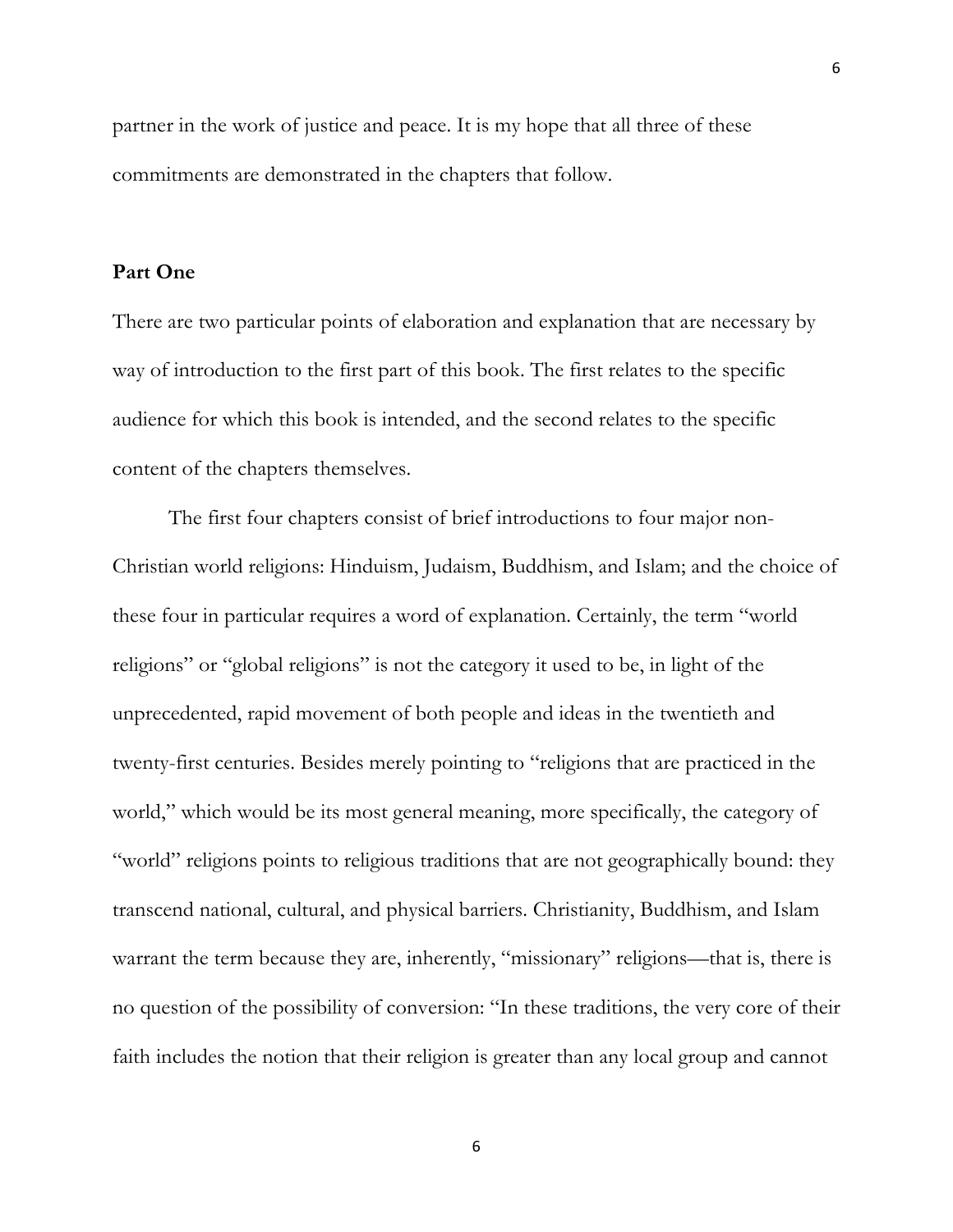partner in the work of justice and peace. It is my hope that all three of these commitments are demonstrated in the chapters that follow.

## **Part One**

There are two particular points of elaboration and explanation that are necessary by way of introduction to the first part of this book. The first relates to the specific audience for which this book is intended, and the second relates to the specific content of the chapters themselves.

The first four chapters consist of brief introductions to four major non-Christian world religions: Hinduism, Judaism, Buddhism, and Islam; and the choice of these four in particular requires a word of explanation. Certainly, the term "world religions" or "global religions" is not the category it used to be, in light of the unprecedented, rapid movement of both people and ideas in the twentieth and twenty-first centuries. Besides merely pointing to "religions that are practiced in the world," which would be its most general meaning, more specifically, the category of "world" religions points to religious traditions that are not geographically bound: they transcend national, cultural, and physical barriers. Christianity, Buddhism, and Islam warrant the term because they are, inherently, "missionary" religions—that is, there is no question of the possibility of conversion: "In these traditions, the very core of their faith includes the notion that their religion is greater than any local group and cannot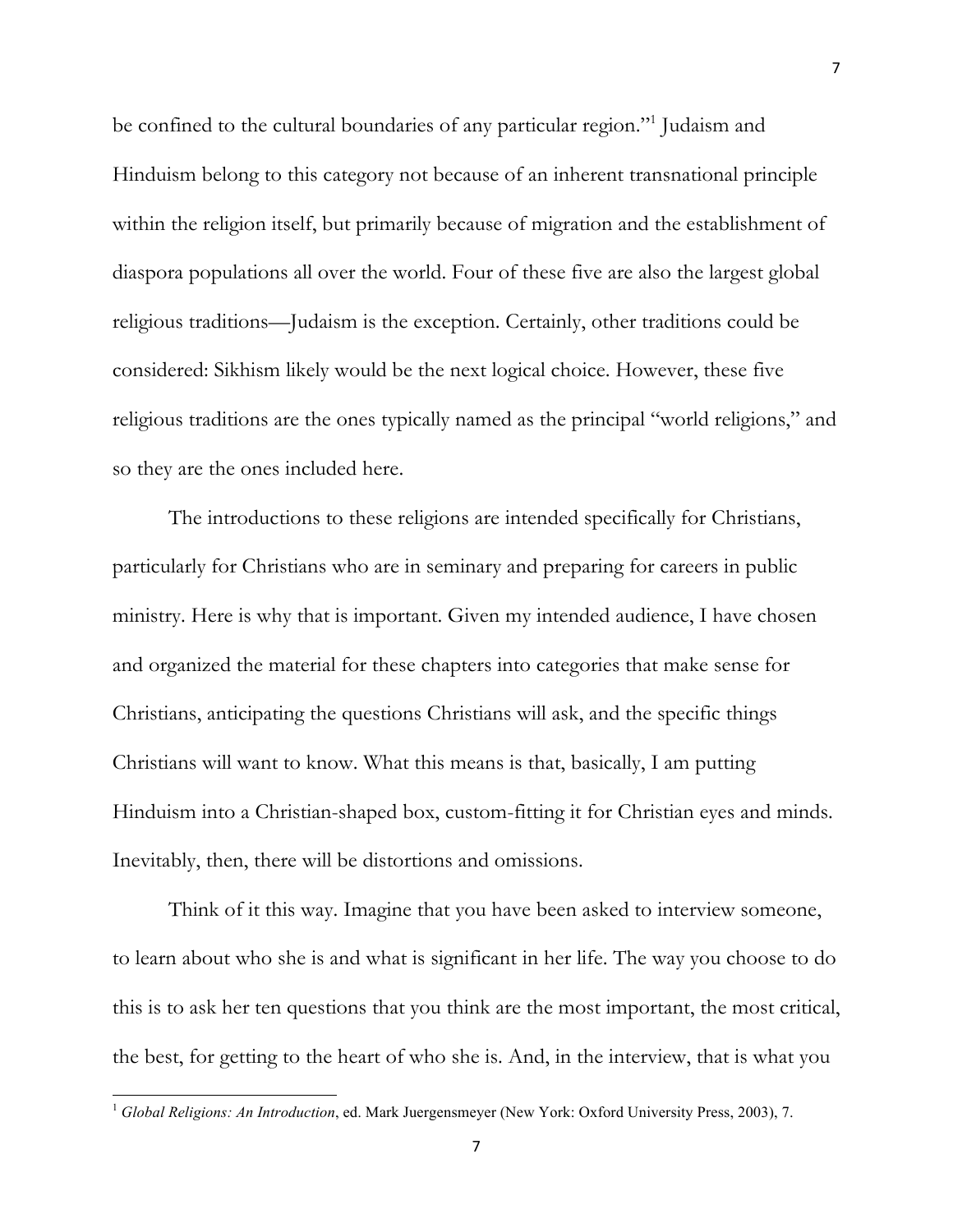be confined to the cultural boundaries of any particular region."1 Judaism and Hinduism belong to this category not because of an inherent transnational principle within the religion itself, but primarily because of migration and the establishment of diaspora populations all over the world. Four of these five are also the largest global religious traditions—Judaism is the exception. Certainly, other traditions could be considered: Sikhism likely would be the next logical choice. However, these five religious traditions are the ones typically named as the principal "world religions," and so they are the ones included here.

7

The introductions to these religions are intended specifically for Christians, particularly for Christians who are in seminary and preparing for careers in public ministry. Here is why that is important. Given my intended audience, I have chosen and organized the material for these chapters into categories that make sense for Christians, anticipating the questions Christians will ask, and the specific things Christians will want to know. What this means is that, basically, I am putting Hinduism into a Christian-shaped box, custom-fitting it for Christian eyes and minds. Inevitably, then, there will be distortions and omissions.

Think of it this way. Imagine that you have been asked to interview someone, to learn about who she is and what is significant in her life. The way you choose to do this is to ask her ten questions that you think are the most important, the most critical, the best, for getting to the heart of who she is. And, in the interview, that is what you

<sup>&</sup>lt;sup>1</sup> Global Religions: An Introduction, ed. Mark Juergensmeyer (New York: Oxford University Press, 2003), 7.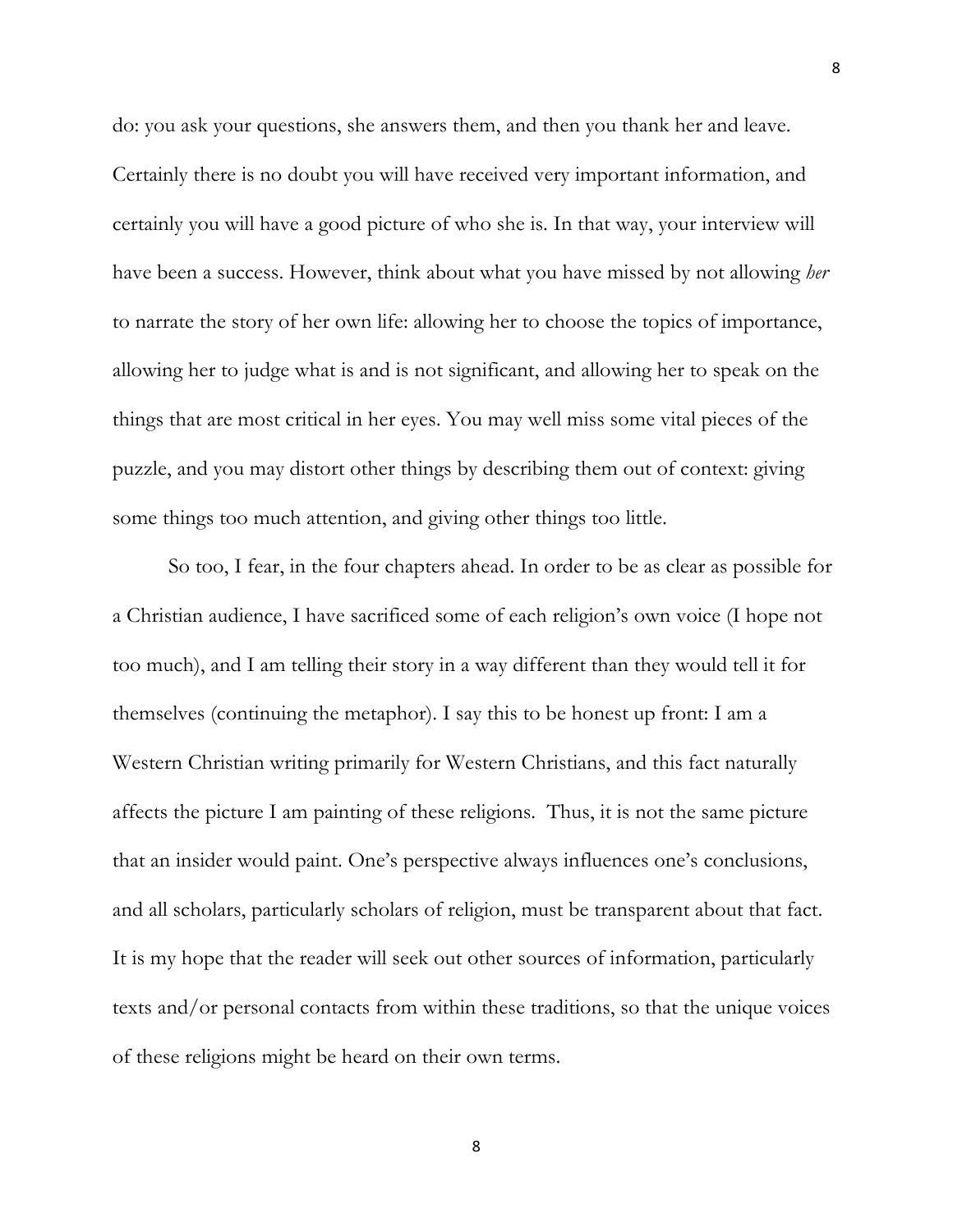do: you ask your questions, she answers them, and then you thank her and leave. Certainly there is no doubt you will have received very important information, and certainly you will have a good picture of who she is. In that way, your interview will have been a success. However, think about what you have missed by not allowing *her* to narrate the story of her own life: allowing her to choose the topics of importance, allowing her to judge what is and is not significant, and allowing her to speak on the things that are most critical in her eyes. You may well miss some vital pieces of the puzzle, and you may distort other things by describing them out of context: giving some things too much attention, and giving other things too little.

So too, I fear, in the four chapters ahead. In order to be as clear as possible for a Christian audience, I have sacrificed some of each religion's own voice (I hope not too much), and I am telling their story in a way different than they would tell it for themselves (continuing the metaphor). I say this to be honest up front: I am a Western Christian writing primarily for Western Christians, and this fact naturally affects the picture I am painting of these religions. Thus, it is not the same picture that an insider would paint. One's perspective always influences one's conclusions, and all scholars, particularly scholars of religion, must be transparent about that fact. It is my hope that the reader will seek out other sources of information, particularly texts and/or personal contacts from within these traditions, so that the unique voices of these religions might be heard on their own terms.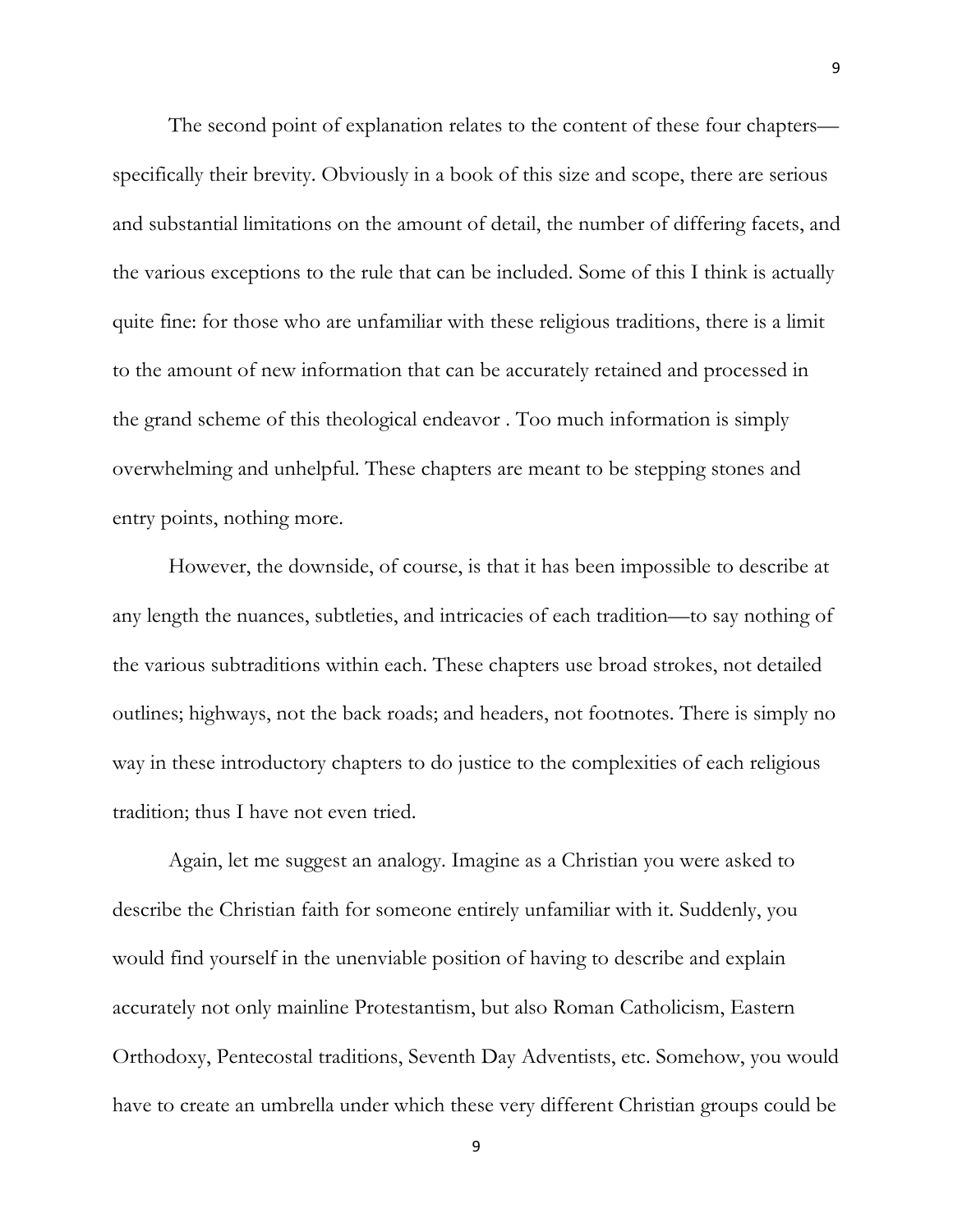The second point of explanation relates to the content of these four chapters specifically their brevity. Obviously in a book of this size and scope, there are serious and substantial limitations on the amount of detail, the number of differing facets, and the various exceptions to the rule that can be included. Some of this I think is actually quite fine: for those who are unfamiliar with these religious traditions, there is a limit to the amount of new information that can be accurately retained and processed in the grand scheme of this theological endeavor . Too much information is simply overwhelming and unhelpful. These chapters are meant to be stepping stones and entry points, nothing more.

However, the downside, of course, is that it has been impossible to describe at any length the nuances, subtleties, and intricacies of each tradition—to say nothing of the various subtraditions within each. These chapters use broad strokes, not detailed outlines; highways, not the back roads; and headers, not footnotes. There is simply no way in these introductory chapters to do justice to the complexities of each religious tradition; thus I have not even tried.

Again, let me suggest an analogy. Imagine as a Christian you were asked to describe the Christian faith for someone entirely unfamiliar with it. Suddenly, you would find yourself in the unenviable position of having to describe and explain accurately not only mainline Protestantism, but also Roman Catholicism, Eastern Orthodoxy, Pentecostal traditions, Seventh Day Adventists, etc. Somehow, you would have to create an umbrella under which these very different Christian groups could be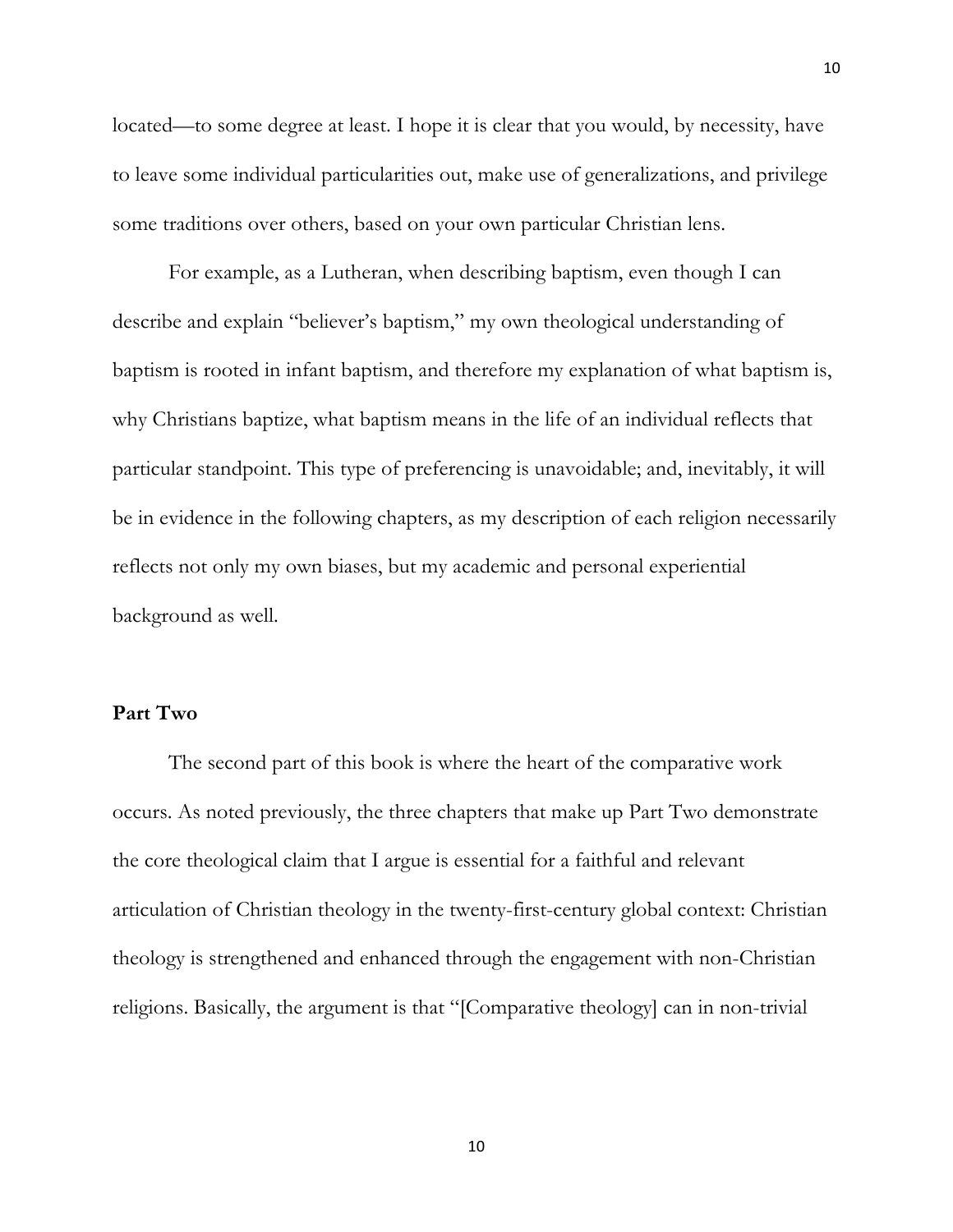located—to some degree at least. I hope it is clear that you would, by necessity, have to leave some individual particularities out, make use of generalizations, and privilege some traditions over others, based on your own particular Christian lens.

For example, as a Lutheran, when describing baptism, even though I can describe and explain "believer's baptism," my own theological understanding of baptism is rooted in infant baptism, and therefore my explanation of what baptism is, why Christians baptize, what baptism means in the life of an individual reflects that particular standpoint. This type of preferencing is unavoidable; and, inevitably, it will be in evidence in the following chapters, as my description of each religion necessarily reflects not only my own biases, but my academic and personal experiential background as well.

# **Part Two**

The second part of this book is where the heart of the comparative work occurs. As noted previously, the three chapters that make up Part Two demonstrate the core theological claim that I argue is essential for a faithful and relevant articulation of Christian theology in the twenty-first-century global context: Christian theology is strengthened and enhanced through the engagement with non-Christian religions. Basically, the argument is that "[Comparative theology] can in non-trivial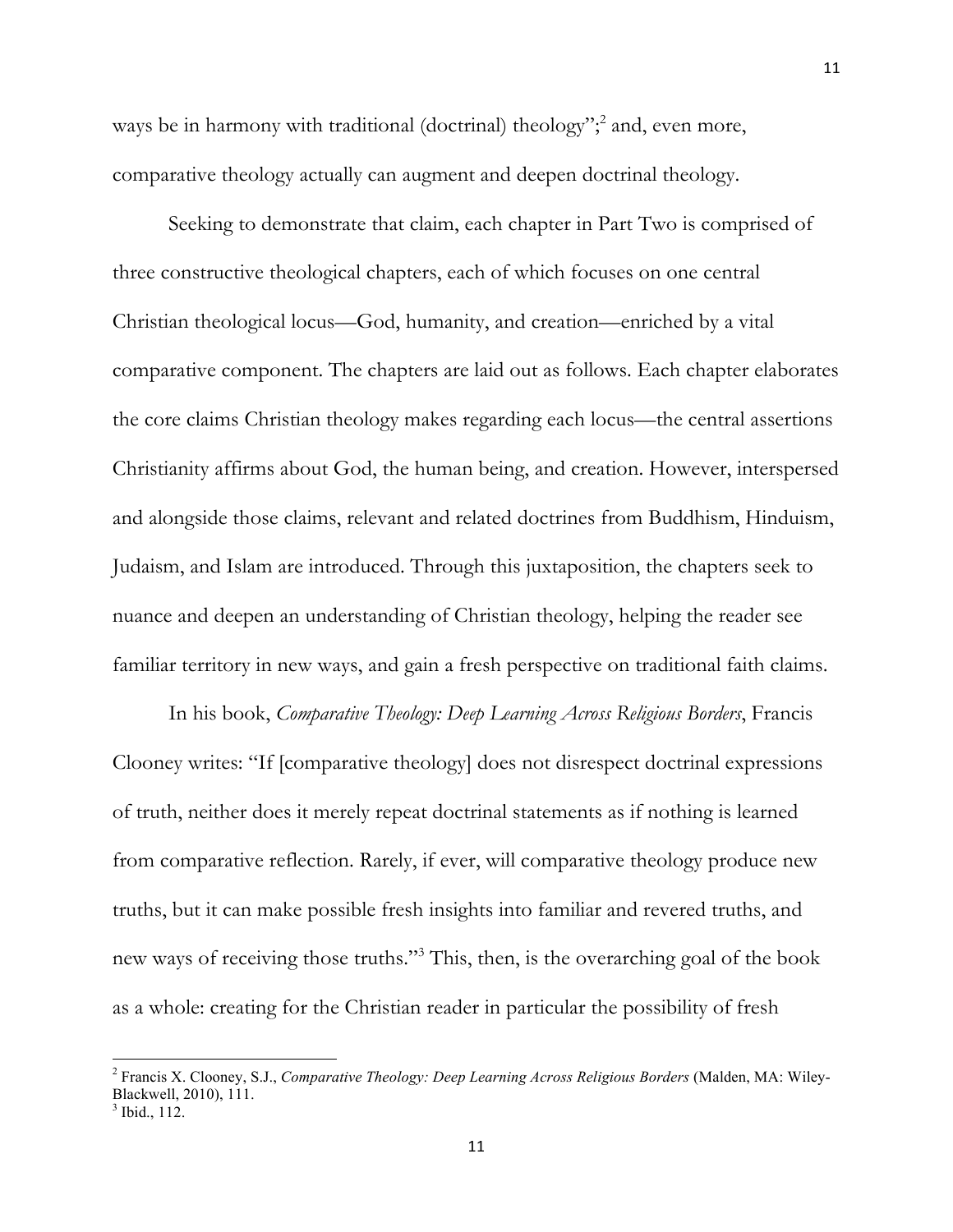ways be in harmony with traditional (doctrinal) theology";<sup>2</sup> and, even more, comparative theology actually can augment and deepen doctrinal theology.

Seeking to demonstrate that claim, each chapter in Part Two is comprised of three constructive theological chapters, each of which focuses on one central Christian theological locus—God, humanity, and creation—enriched by a vital comparative component. The chapters are laid out as follows. Each chapter elaborates the core claims Christian theology makes regarding each locus—the central assertions Christianity affirms about God, the human being, and creation. However, interspersed and alongside those claims, relevant and related doctrines from Buddhism, Hinduism, Judaism, and Islam are introduced. Through this juxtaposition, the chapters seek to nuance and deepen an understanding of Christian theology, helping the reader see familiar territory in new ways, and gain a fresh perspective on traditional faith claims.

In his book, *Comparative Theology: Deep Learning Across Religious Borders*, Francis Clooney writes: "If [comparative theology] does not disrespect doctrinal expressions of truth, neither does it merely repeat doctrinal statements as if nothing is learned from comparative reflection. Rarely, if ever, will comparative theology produce new truths, but it can make possible fresh insights into familiar and revered truths, and new ways of receiving those truths."3 This, then, is the overarching goal of the book as a whole: creating for the Christian reader in particular the possibility of fresh

<sup>2</sup> Francis X. Clooney, S.J., *Comparative Theology: Deep Learning Across Religious Borders* (Malden, MA: Wiley-Blackwell, 2010), 111.

 $3$  Ibid., 112.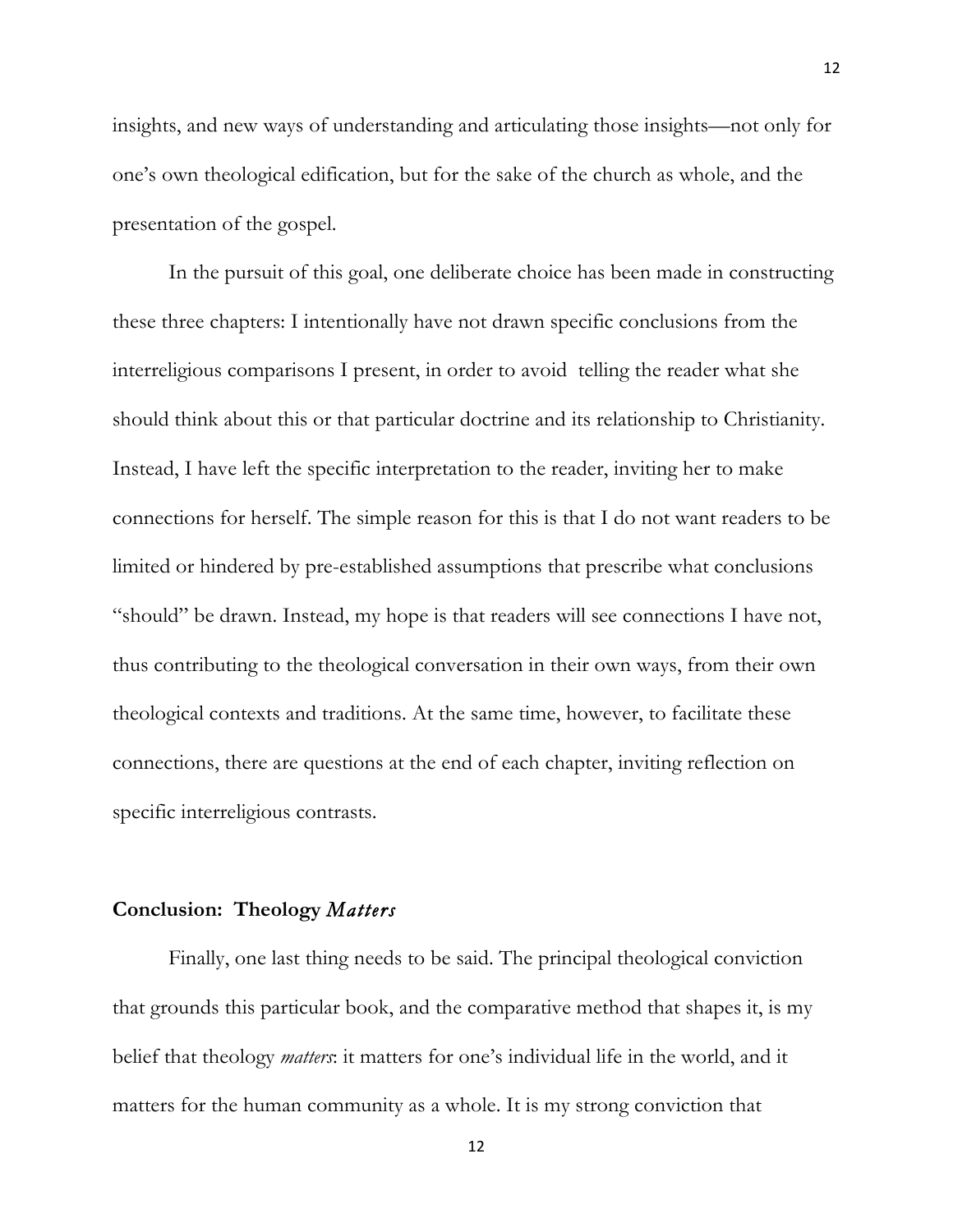insights, and new ways of understanding and articulating those insights—not only for one's own theological edification, but for the sake of the church as whole, and the presentation of the gospel.

In the pursuit of this goal, one deliberate choice has been made in constructing these three chapters: I intentionally have not drawn specific conclusions from the interreligious comparisons I present, in order to avoid telling the reader what she should think about this or that particular doctrine and its relationship to Christianity. Instead, I have left the specific interpretation to the reader, inviting her to make connections for herself. The simple reason for this is that I do not want readers to be limited or hindered by pre-established assumptions that prescribe what conclusions "should" be drawn. Instead, my hope is that readers will see connections I have not, thus contributing to the theological conversation in their own ways, from their own theological contexts and traditions. At the same time, however, to facilitate these connections, there are questions at the end of each chapter, inviting reflection on specific interreligious contrasts.

### **Conclusion: Theology** *Matters*

Finally, one last thing needs to be said. The principal theological conviction that grounds this particular book, and the comparative method that shapes it, is my belief that theology *matters*: it matters for one's individual life in the world, and it matters for the human community as a whole. It is my strong conviction that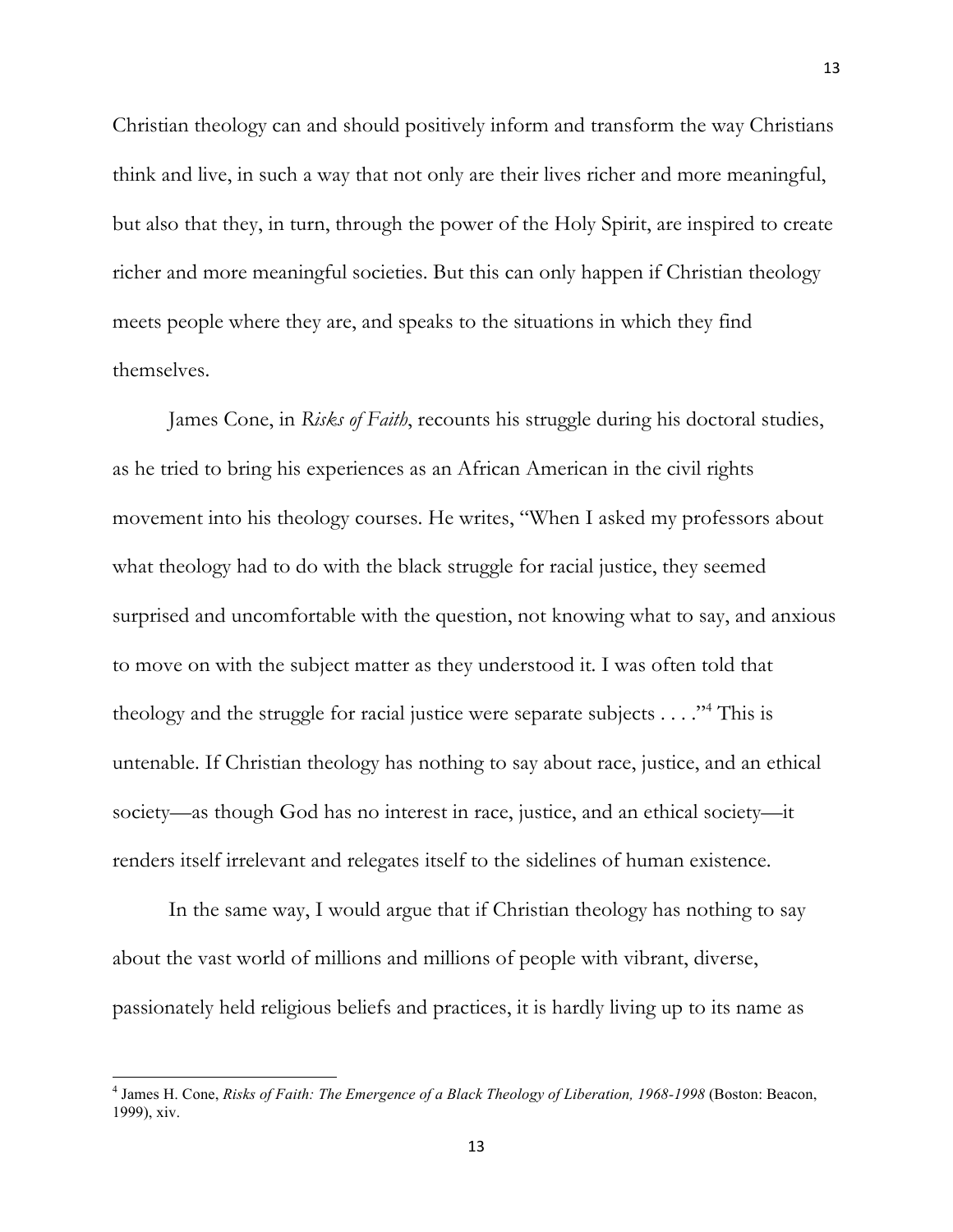Christian theology can and should positively inform and transform the way Christians think and live, in such a way that not only are their lives richer and more meaningful, but also that they, in turn, through the power of the Holy Spirit, are inspired to create richer and more meaningful societies. But this can only happen if Christian theology meets people where they are, and speaks to the situations in which they find themselves.

James Cone, in *Risks of Faith*, recounts his struggle during his doctoral studies, as he tried to bring his experiences as an African American in the civil rights movement into his theology courses. He writes, "When I asked my professors about what theology had to do with the black struggle for racial justice, they seemed surprised and uncomfortable with the question, not knowing what to say, and anxious to move on with the subject matter as they understood it. I was often told that theology and the struggle for racial justice were separate subjects  $\dots$ ." This is untenable. If Christian theology has nothing to say about race, justice, and an ethical society—as though God has no interest in race, justice, and an ethical society—it renders itself irrelevant and relegates itself to the sidelines of human existence.

In the same way, I would argue that if Christian theology has nothing to say about the vast world of millions and millions of people with vibrant, diverse, passionately held religious beliefs and practices, it is hardly living up to its name as

13

<sup>&</sup>lt;sup>4</sup> James H. Cone, *Risks of Faith: The Emergence of a Black Theology of Liberation, 1968-1998 (Boston: Beacon,* 1999), xiv.